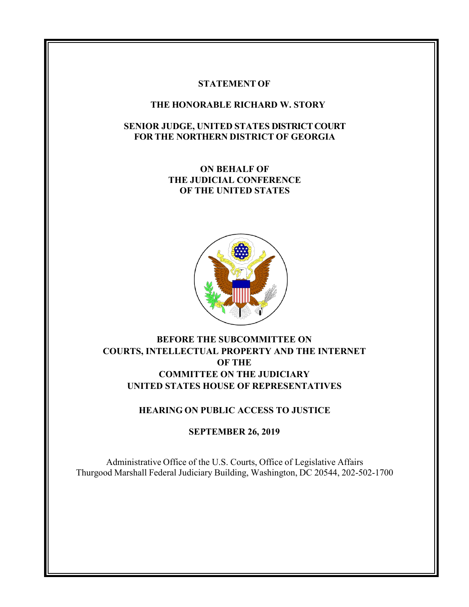#### **STATEMENT OF**

### **THE HONORABLE RICHARD W. STORY**

### **SENIOR JUDGE, UNITED STATES DISTRICT COURT FOR THE NORTHERN DISTRICT OF GEORGIA**

**ON BEHALF OF THE JUDICIAL CONFERENCE OF THE UNITED STATES**



# **BEFORE THE SUBCOMMITTEE ON COURTS, INTELLECTUAL PROPERTY AND THE INTERNET OF THE COMMITTEE ON THE JUDICIARY UNITED STATES HOUSE OF REPRESENTATIVES**

## **HEARING ON PUBLIC ACCESS TO JUSTICE**

### **SEPTEMBER 26, 2019**

Administrative Office of the U.S. Courts, Office of Legislative Affairs Thurgood Marshall Federal Judiciary Building, Washington, DC 20544, 202-502-1700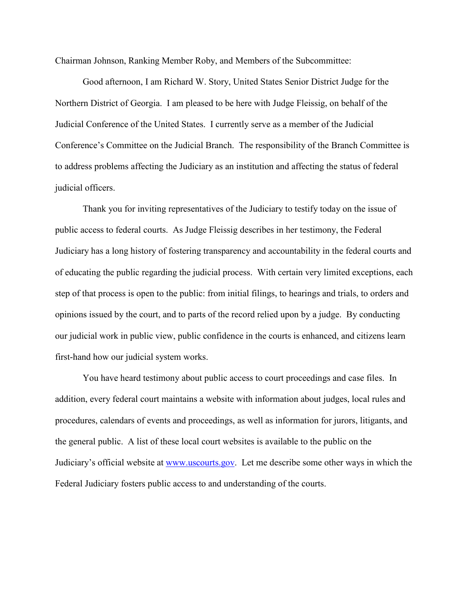Chairman Johnson, Ranking Member Roby, and Members of the Subcommittee:

Good afternoon, I am Richard W. Story, United States Senior District Judge for the Northern District of Georgia. I am pleased to be here with Judge Fleissig, on behalf of the Judicial Conference of the United States. I currently serve as a member of the Judicial Conference's Committee on the Judicial Branch. The responsibility of the Branch Committee is to address problems affecting the Judiciary as an institution and affecting the status of federal judicial officers.

Thank you for inviting representatives of the Judiciary to testify today on the issue of public access to federal courts. As Judge Fleissig describes in her testimony, the Federal Judiciary has a long history of fostering transparency and accountability in the federal courts and of educating the public regarding the judicial process. With certain very limited exceptions, each step of that process is open to the public: from initial filings, to hearings and trials, to orders and opinions issued by the court, and to parts of the record relied upon by a judge. By conducting our judicial work in public view, public confidence in the courts is enhanced, and citizens learn first-hand how our judicial system works.

You have heard testimony about public access to court proceedings and case files. In addition, every federal court maintains a website with information about judges, local rules and procedures, calendars of events and proceedings, as well as information for jurors, litigants, and the general public. A list of these local court websites is available to the public on the Judiciary's official website at [www.uscourts.gov.](http://www.uscourts.gov/) Let me describe some other ways in which the Federal Judiciary fosters public access to and understanding of the courts.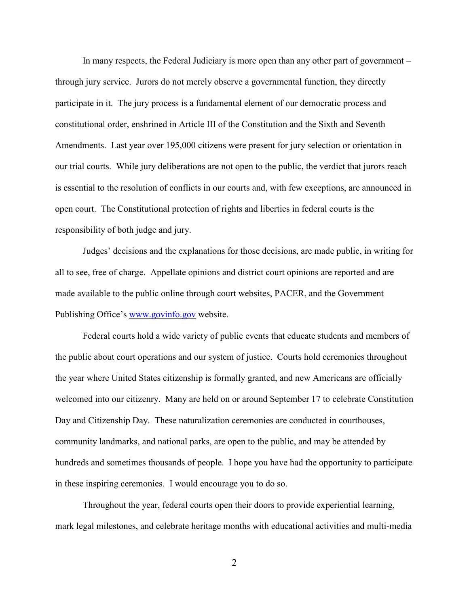In many respects, the Federal Judiciary is more open than any other part of government – through jury service. Jurors do not merely observe a governmental function, they directly participate in it. The jury process is a fundamental element of our democratic process and constitutional order, enshrined in Article III of the Constitution and the Sixth and Seventh Amendments. Last year over 195,000 citizens were present for jury selection or orientation in our trial courts. While jury deliberations are not open to the public, the verdict that jurors reach is essential to the resolution of conflicts in our courts and, with few exceptions, are announced in open court. The Constitutional protection of rights and liberties in federal courts is the responsibility of both judge and jury.

Judges' decisions and the explanations for those decisions, are made public, in writing for all to see, free of charge. Appellate opinions and district court opinions are reported and are made available to the public online through court websites, PACER, and the Government Publishing Office's [www.govinfo.gov](http://www.govinfo.gov/) website.

Federal courts hold a wide variety of public events that educate students and members of the public about court operations and our system of justice. Courts hold ceremonies throughout the year where United States citizenship is formally granted, and new Americans are officially welcomed into our citizenry. Many are held on or around September 17 to celebrate Constitution Day and Citizenship Day. These naturalization ceremonies are conducted in courthouses, community landmarks, and national parks, are open to the public, and may be attended by hundreds and sometimes thousands of people. I hope you have had the opportunity to participate in these inspiring ceremonies. I would encourage you to do so.

Throughout the year, federal courts open their doors to provide experiential learning, mark legal milestones, and celebrate heritage months with educational activities and multi-media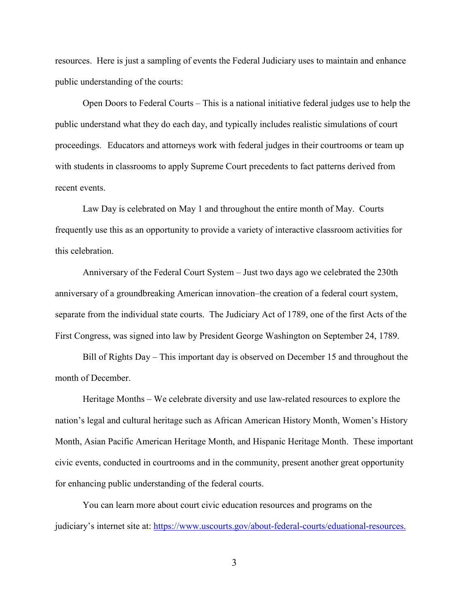resources. Here is just a sampling of events the Federal Judiciary uses to maintain and enhance public understanding of the courts:

Open Doors to Federal Courts – This is a national initiative federal judges use to help the public understand what they do each day, and typically includes realistic simulations of court proceedings. Educators and attorneys work with federal judges in their courtrooms or team up with students in classrooms to apply Supreme Court precedents to fact patterns derived from recent events.

Law Day is celebrated on May 1 and throughout the entire month of May. Courts frequently use this as an opportunity to provide a variety of interactive classroom activities for this celebration.

Anniversary of the Federal Court System – Just two days ago we celebrated the 230th anniversary of a groundbreaking American innovation–the creation of a federal court system, separate from the individual state courts. The Judiciary Act of 1789, one of the first Acts of the First Congress, was signed into law by President George Washington on September 24, 1789.

Bill of Rights Day – This important day is observed on December 15 and throughout the month of December.

Heritage Months – We celebrate diversity and use law-related resources to explore the nation's legal and cultural heritage such as [African American History Month,](https://www.uscourts.gov/about-federal-courts/educational-resources/annual-observances/african-american-history-month) [Women's History](https://www.uscourts.gov/about-federal-courts/educational-resources/annual-observances/womens-history-month)  [Month,](https://www.uscourts.gov/about-federal-courts/educational-resources/annual-observances/womens-history-month) [Asian Pacific American Heritage Month,](https://www.uscourts.gov/about-federal-courts/educational-resources/annual-observances/asian-pacific-american-heritage-month) and [Hispanic Heritage Month.](https://www.uscourts.gov/about-federal-courts/educational-resources/annual-observances/hispanic-heritage-month) These important civic events, conducted in courtrooms and in the community, present another great opportunity for enhancing public understanding of the federal courts.

You can learn more about court civic education resources and programs on the judiciary's internet site at: [https://www.uscourts.gov/about-federal-courts/eduational-resources.](https://www.uscourts.gov/about-federal-courts/eduational-resources)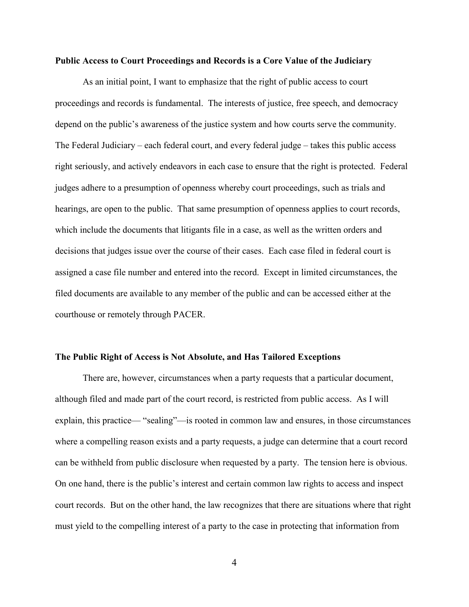#### **Public Access to Court Proceedings and Records is a Core Value of the Judiciary**

As an initial point, I want to emphasize that the right of public access to court proceedings and records is fundamental. The interests of justice, free speech, and democracy depend on the public's awareness of the justice system and how courts serve the community. The Federal Judiciary – each federal court, and every federal judge – takes this public access right seriously, and actively endeavors in each case to ensure that the right is protected. Federal judges adhere to a presumption of openness whereby court proceedings, such as trials and hearings, are open to the public. That same presumption of openness applies to court records, which include the documents that litigants file in a case, as well as the written orders and decisions that judges issue over the course of their cases. Each case filed in federal court is assigned a case file number and entered into the record. Except in limited circumstances, the filed documents are available to any member of the public and can be accessed either at the courthouse or remotely through PACER.

#### **The Public Right of Access is Not Absolute, and Has Tailored Exceptions**

There are, however, circumstances when a party requests that a particular document, although filed and made part of the court record, is restricted from public access. As I will explain, this practice— "sealing"—is rooted in common law and ensures, in those circumstances where a compelling reason exists and a party requests, a judge can determine that a court record can be withheld from public disclosure when requested by a party. The tension here is obvious. On one hand, there is the public's interest and certain common law rights to access and inspect court records. But on the other hand, the law recognizes that there are situations where that right must yield to the compelling interest of a party to the case in protecting that information from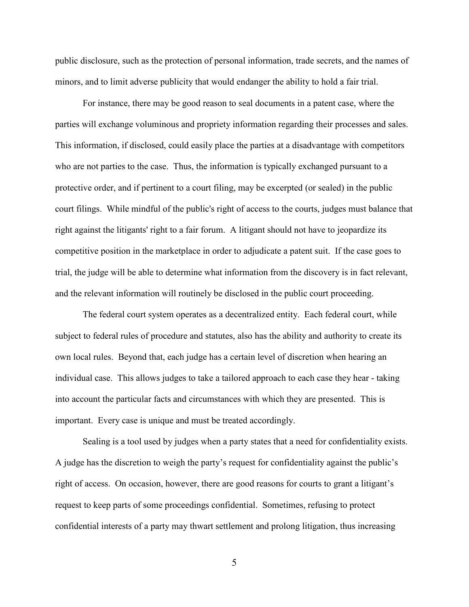public disclosure, such as the protection of personal information, trade secrets, and the names of minors, and to limit adverse publicity that would endanger the ability to hold a fair trial.

For instance, there may be good reason to seal documents in a patent case, where the parties will exchange voluminous and propriety information regarding their processes and sales. This information, if disclosed, could easily place the parties at a disadvantage with competitors who are not parties to the case. Thus, the information is typically exchanged pursuant to a protective order, and if pertinent to a court filing, may be excerpted (or sealed) in the public court filings. While mindful of the public's right of access to the courts, judges must balance that right against the litigants' right to a fair forum. A litigant should not have to jeopardize its competitive position in the marketplace in order to adjudicate a patent suit. If the case goes to trial, the judge will be able to determine what information from the discovery is in fact relevant, and the relevant information will routinely be disclosed in the public court proceeding.

The federal court system operates as a decentralized entity. Each federal court, while subject to federal rules of procedure and statutes, also has the ability and authority to create its own local rules. Beyond that, each judge has a certain level of discretion when hearing an individual case. This allows judges to take a tailored approach to each case they hear - taking into account the particular facts and circumstances with which they are presented. This is important. Every case is unique and must be treated accordingly.

Sealing is a tool used by judges when a party states that a need for confidentiality exists. A judge has the discretion to weigh the party's request for confidentiality against the public's right of access. On occasion, however, there are good reasons for courts to grant a litigant's request to keep parts of some proceedings confidential. Sometimes, refusing to protect confidential interests of a party may thwart settlement and prolong litigation, thus increasing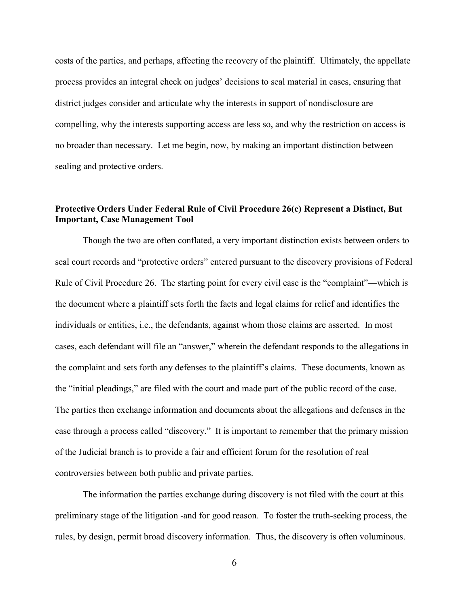costs of the parties, and perhaps, affecting the recovery of the plaintiff. Ultimately, the appellate process provides an integral check on judges' decisions to seal material in cases, ensuring that district judges consider and articulate why the interests in support of nondisclosure are compelling, why the interests supporting access are less so, and why the restriction on access is no broader than necessary. Let me begin, now, by making an important distinction between sealing and protective orders.

### **Protective Orders Under Federal Rule of Civil Procedure 26(c) Represent a Distinct, But Important, Case Management Tool**

Though the two are often conflated, a very important distinction exists between orders to seal court records and "protective orders" entered pursuant to the discovery provisions of Federal Rule of Civil Procedure 26. The starting point for every civil case is the "complaint"—which is the document where a plaintiff sets forth the facts and legal claims for relief and identifies the individuals or entities, i.e., the defendants, against whom those claims are asserted. In most cases, each defendant will file an "answer," wherein the defendant responds to the allegations in the complaint and sets forth any defenses to the plaintiff's claims. These documents, known as the "initial pleadings," are filed with the court and made part of the public record of the case. The parties then exchange information and documents about the allegations and defenses in the case through a process called "discovery." It is important to remember that the primary mission of the Judicial branch is to provide a fair and efficient forum for the resolution of real controversies between both public and private parties.

The information the parties exchange during discovery is not filed with the court at this preliminary stage of the litigation -and for good reason. To foster the truth-seeking process, the rules, by design, permit broad discovery information. Thus, the discovery is often voluminous.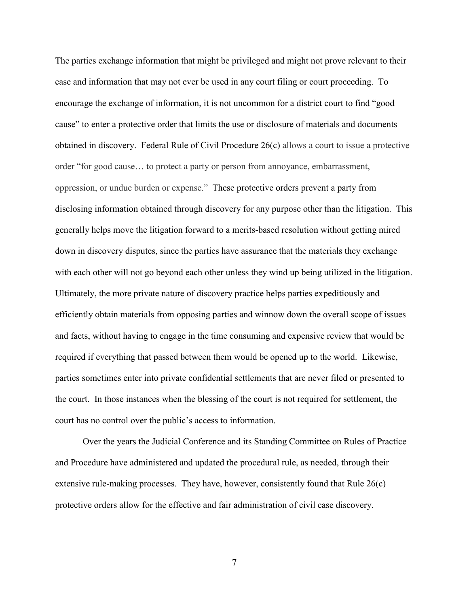The parties exchange information that might be privileged and might not prove relevant to their case and information that may not ever be used in any court filing or court proceeding. To encourage the exchange of information, it is not uncommon for a district court to find "good cause" to enter a protective order that limits the use or disclosure of materials and documents obtained in discovery. Federal Rule of Civil Procedure 26(c) allows a court to issue a protective order "for good cause… to protect a party or person from annoyance, embarrassment, oppression, or undue burden or expense." These protective orders prevent a party from disclosing information obtained through discovery for any purpose other than the litigation. This generally helps move the litigation forward to a merits-based resolution without getting mired down in discovery disputes, since the parties have assurance that the materials they exchange with each other will not go beyond each other unless they wind up being utilized in the litigation. Ultimately, the more private nature of discovery practice helps parties expeditiously and efficiently obtain materials from opposing parties and winnow down the overall scope of issues and facts, without having to engage in the time consuming and expensive review that would be required if everything that passed between them would be opened up to the world. Likewise, parties sometimes enter into private confidential settlements that are never filed or presented to the court. In those instances when the blessing of the court is not required for settlement, the court has no control over the public's access to information.

Over the years the Judicial Conference and its Standing Committee on Rules of Practice and Procedure have administered and updated the procedural rule, as needed, through their extensive rule-making processes. They have, however, consistently found that Rule 26(c) protective orders allow for the effective and fair administration of civil case discovery.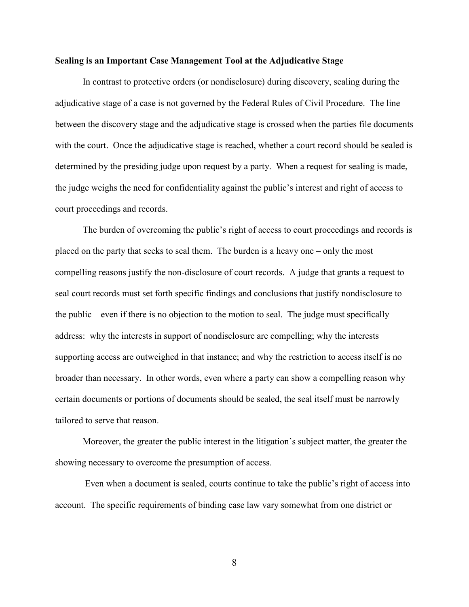#### **Sealing is an Important Case Management Tool at the Adjudicative Stage**

In contrast to protective orders (or nondisclosure) during discovery, sealing during the adjudicative stage of a case is not governed by the Federal Rules of Civil Procedure. The line between the discovery stage and the adjudicative stage is crossed when the parties file documents with the court. Once the adjudicative stage is reached, whether a court record should be sealed is determined by the presiding judge upon request by a party. When a request for sealing is made, the judge weighs the need for confidentiality against the public's interest and right of access to court proceedings and records.

The burden of overcoming the public's right of access to court proceedings and records is placed on the party that seeks to seal them. The burden is a heavy one – only the most compelling reasons justify the non-disclosure of court records. A judge that grants a request to seal court records must set forth specific findings and conclusions that justify nondisclosure to the public—even if there is no objection to the motion to seal. The judge must specifically address: why the interests in support of nondisclosure are compelling; why the interests supporting access are outweighed in that instance; and why the restriction to access itself is no broader than necessary. In other words, even where a party can show a compelling reason why certain documents or portions of documents should be sealed, the seal itself must be narrowly tailored to serve that reason.

Moreover, the greater the public interest in the litigation's subject matter, the greater the showing necessary to overcome the presumption of access.

Even when a document is sealed, courts continue to take the public's right of access into account. The specific requirements of binding case law vary somewhat from one district or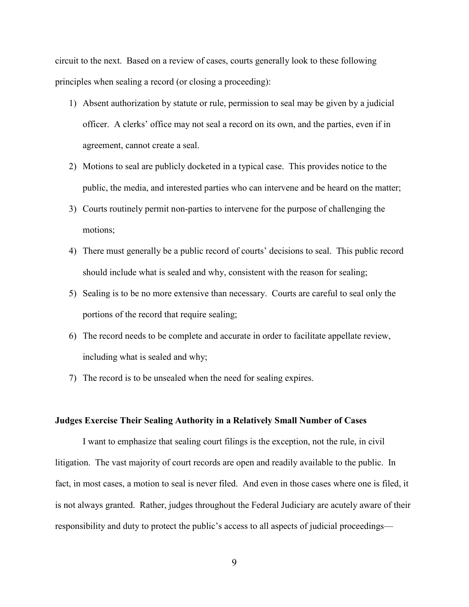circuit to the next. Based on a review of cases, courts generally look to these following principles when sealing a record (or closing a proceeding):

- 1) Absent authorization by statute or rule, permission to seal may be given by a judicial officer. A clerks' office may not seal a record on its own, and the parties, even if in agreement, cannot create a seal.
- 2) Motions to seal are publicly docketed in a typical case. This provides notice to the public, the media, and interested parties who can intervene and be heard on the matter;
- 3) Courts routinely permit non-parties to intervene for the purpose of challenging the motions;
- 4) There must generally be a public record of courts' decisions to seal. This public record should include what is sealed and why, consistent with the reason for sealing;
- 5) Sealing is to be no more extensive than necessary. Courts are careful to seal only the portions of the record that require sealing;
- 6) The record needs to be complete and accurate in order to facilitate appellate review, including what is sealed and why;
- 7) The record is to be unsealed when the need for sealing expires.

#### **Judges Exercise Their Sealing Authority in a Relatively Small Number of Cases**

I want to emphasize that sealing court filings is the exception, not the rule, in civil litigation. The vast majority of court records are open and readily available to the public. In fact, in most cases, a motion to seal is never filed. And even in those cases where one is filed, it is not always granted. Rather, judges throughout the Federal Judiciary are acutely aware of their responsibility and duty to protect the public's access to all aspects of judicial proceedings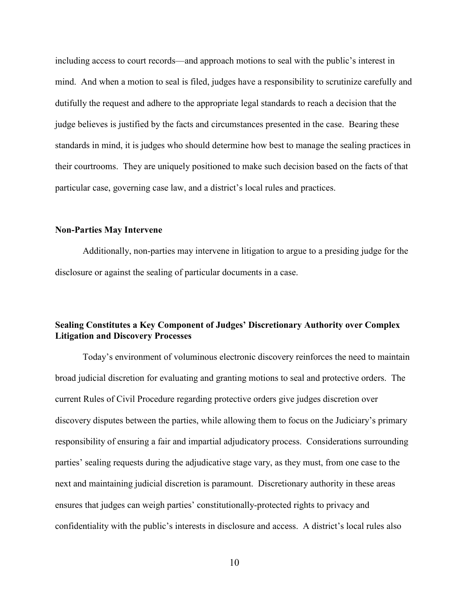including access to court records—and approach motions to seal with the public's interest in mind. And when a motion to seal is filed, judges have a responsibility to scrutinize carefully and dutifully the request and adhere to the appropriate legal standards to reach a decision that the judge believes is justified by the facts and circumstances presented in the case. Bearing these standards in mind, it is judges who should determine how best to manage the sealing practices in their courtrooms. They are uniquely positioned to make such decision based on the facts of that particular case, governing case law, and a district's local rules and practices.

#### **Non-Parties May Intervene**

Additionally, non-parties may intervene in litigation to argue to a presiding judge for the disclosure or against the sealing of particular documents in a case.

### **Sealing Constitutes a Key Component of Judges' Discretionary Authority over Complex Litigation and Discovery Processes**

Today's environment of voluminous electronic discovery reinforces the need to maintain broad judicial discretion for evaluating and granting motions to seal and protective orders. The current Rules of Civil Procedure regarding protective orders give judges discretion over discovery disputes between the parties, while allowing them to focus on the Judiciary's primary responsibility of ensuring a fair and impartial adjudicatory process. Considerations surrounding parties' sealing requests during the adjudicative stage vary, as they must, from one case to the next and maintaining judicial discretion is paramount. Discretionary authority in these areas ensures that judges can weigh parties' constitutionally-protected rights to privacy and confidentiality with the public's interests in disclosure and access. A district's local rules also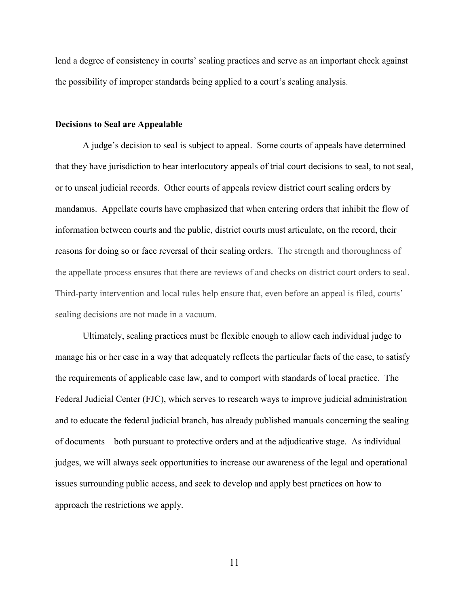lend a degree of consistency in courts' sealing practices and serve as an important check against the possibility of improper standards being applied to a court's sealing analysis.

#### **Decisions to Seal are Appealable**

A judge's decision to seal is subject to appeal. Some courts of appeals have determined that they have jurisdiction to hear interlocutory appeals of trial court decisions to seal, to not seal, or to unseal judicial records. Other courts of appeals review district court sealing orders by mandamus. Appellate courts have emphasized that when entering orders that inhibit the flow of information between courts and the public, district courts must articulate, on the record, their reasons for doing so or face reversal of their sealing orders. The strength and thoroughness of the appellate process ensures that there are reviews of and checks on district court orders to seal. Third-party intervention and local rules help ensure that, even before an appeal is filed, courts' sealing decisions are not made in a vacuum.

Ultimately, sealing practices must be flexible enough to allow each individual judge to manage his or her case in a way that adequately reflects the particular facts of the case, to satisfy the requirements of applicable case law, and to comport with standards of local practice. The Federal Judicial Center (FJC), which serves to research ways to improve judicial administration and to educate the federal judicial branch, has already published manuals concerning the sealing of documents – both pursuant to protective orders and at the adjudicative stage. As individual judges, we will always seek opportunities to increase our awareness of the legal and operational issues surrounding public access, and seek to develop and apply best practices on how to approach the restrictions we apply.